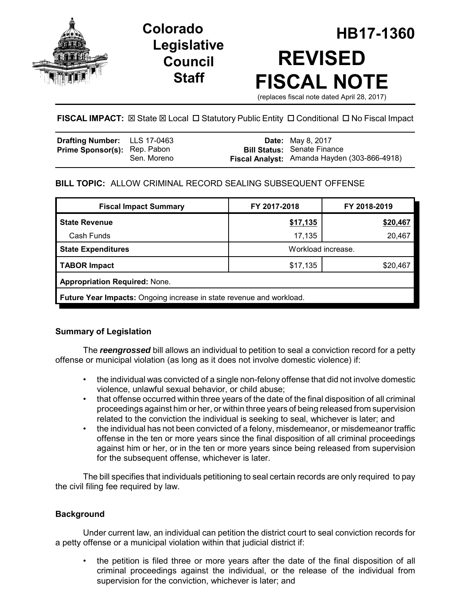

# **Legislative Council Staff**

# **HB17-1360 Colorado REVISED FISCAL NOTE** (replaces fiscal note dated April 28, 2017)

**FISCAL IMPACT:**  $\boxtimes$  **State**  $\boxtimes$  **Local □ Statutory Public Entity □ Conditional □ No Fiscal Impact** 

| <b>Drafting Number:</b> LLS 17-0463 |             | <b>Date:</b> May 8, 2017                                                           |
|-------------------------------------|-------------|------------------------------------------------------------------------------------|
| <b>Prime Sponsor(s):</b> Rep. Pabon | Sen. Moreno | <b>Bill Status: Senate Finance</b><br>Fiscal Analyst: Amanda Hayden (303-866-4918) |

# **BILL TOPIC:** ALLOW CRIMINAL RECORD SEALING SUBSEQUENT OFFENSE

| <b>Fiscal Impact Summary</b>                                                | FY 2017-2018       | FY 2018-2019 |  |  |  |  |
|-----------------------------------------------------------------------------|--------------------|--------------|--|--|--|--|
| <b>State Revenue</b>                                                        | \$17,135           | \$20,467     |  |  |  |  |
| Cash Funds                                                                  | 17,135             | 20,467       |  |  |  |  |
| <b>State Expenditures</b>                                                   | Workload increase. |              |  |  |  |  |
| <b>TABOR Impact</b>                                                         | \$17,135           | \$20,467     |  |  |  |  |
| <b>Appropriation Required: None.</b>                                        |                    |              |  |  |  |  |
| <b>Future Year Impacts:</b> Ongoing increase in state revenue and workload. |                    |              |  |  |  |  |

## **Summary of Legislation**

The *reengrossed* bill allows an individual to petition to seal a conviction record for a petty offense or municipal violation (as long as it does not involve domestic violence) if:

- the individual was convicted of a single non-felony offense that did not involve domestic violence, unlawful sexual behavior, or child abuse;
- that offense occurred within three years of the date of the final disposition of all criminal proceedings against him or her, or within three years of being released from supervision related to the conviction the individual is seeking to seal, whichever is later; and
- the individual has not been convicted of a felony, misdemeanor, or misdemeanor traffic offense in the ten or more years since the final disposition of all criminal proceedings against him or her, or in the ten or more years since being released from supervision for the subsequent offense, whichever is later.

The bill specifies that individuals petitioning to seal certain records are only required to pay the civil filing fee required by law.

## **Background**

Under current law, an individual can petition the district court to seal conviction records for a petty offense or a municipal violation within that judicial district if:

• the petition is filed three or more years after the date of the final disposition of all criminal proceedings against the individual, or the release of the individual from supervision for the conviction, whichever is later; and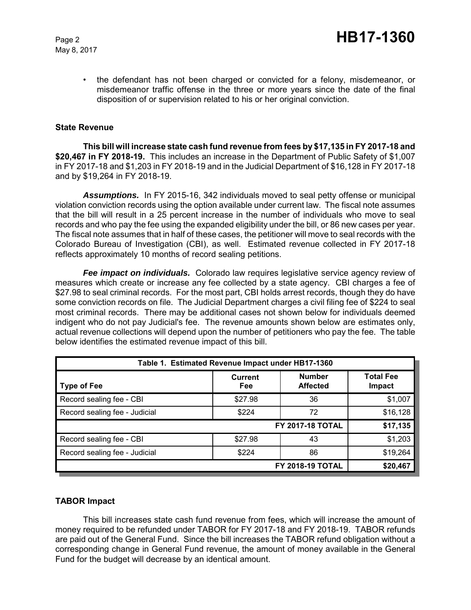May 8, 2017

• the defendant has not been charged or convicted for a felony, misdemeanor, or misdemeanor traffic offense in the three or more years since the date of the final disposition of or supervision related to his or her original conviction.

#### **State Revenue**

**This bill will increase state cash fund revenue from fees by \$17,135 in FY 2017-18 and \$20,467 in FY 2018-19.** This includes an increase in the Department of Public Safety of \$1,007 in FY 2017-18 and \$1,203 in FY 2018-19 and in the Judicial Department of \$16,128 in FY 2017-18 and by \$19,264 in FY 2018-19.

*Assumptions.* In FY 2015-16, 342 individuals moved to seal petty offense or municipal violation conviction records using the option available under current law. The fiscal note assumes that the bill will result in a 25 percent increase in the number of individuals who move to seal records and who pay the fee using the expanded eligibility under the bill, or 86 new cases per year. The fiscal note assumes that in half of these cases, the petitioner will move to seal records with the Colorado Bureau of Investigation (CBI), as well. Estimated revenue collected in FY 2017-18 reflects approximately 10 months of record sealing petitions.

*Fee impact on individuals.* Colorado law requires legislative service agency review of measures which create or increase any fee collected by a state agency. CBI charges a fee of \$27.98 to seal criminal records. For the most part, CBI holds arrest records, though they do have some conviction records on file. The Judicial Department charges a civil filing fee of \$224 to seal most criminal records. There may be additional cases not shown below for individuals deemed indigent who do not pay Judicial's fee. The revenue amounts shown below are estimates only, actual revenue collections will depend upon the number of petitioners who pay the fee. The table below identifies the estimated revenue impact of this bill.

| Table 1. Estimated Revenue Impact under HB17-1360 |                       |                                  |                            |  |  |  |
|---------------------------------------------------|-----------------------|----------------------------------|----------------------------|--|--|--|
| <b>Type of Fee</b>                                | <b>Current</b><br>Fee | <b>Number</b><br><b>Affected</b> | <b>Total Fee</b><br>Impact |  |  |  |
| Record sealing fee - CBI                          | \$27.98               | 36                               | \$1,007                    |  |  |  |
| Record sealing fee - Judicial                     | \$224                 | 72                               | \$16,128                   |  |  |  |
|                                                   |                       | <b>FY 2017-18 TOTAL</b>          | \$17,135                   |  |  |  |
| Record sealing fee - CBI                          | \$27.98               | 43                               | \$1,203                    |  |  |  |
| Record sealing fee - Judicial                     | \$224                 | 86                               | \$19,264                   |  |  |  |
|                                                   | \$20,467              |                                  |                            |  |  |  |

#### **TABOR Impact**

This bill increases state cash fund revenue from fees, which will increase the amount of money required to be refunded under TABOR for FY 2017-18 and FY 2018-19. TABOR refunds are paid out of the General Fund. Since the bill increases the TABOR refund obligation without a corresponding change in General Fund revenue, the amount of money available in the General Fund for the budget will decrease by an identical amount.